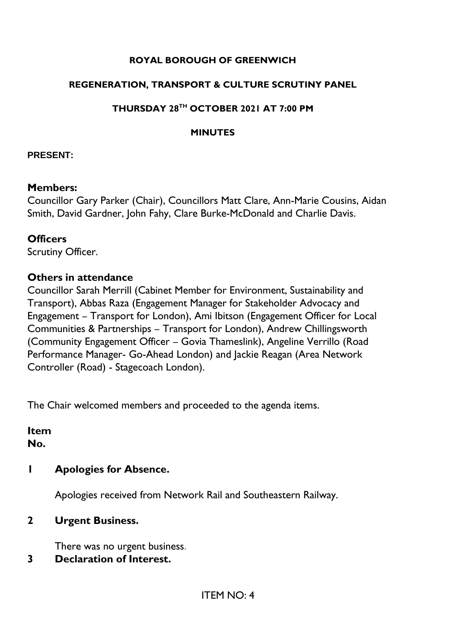#### **ROYAL BOROUGH OF GREENWICH**

#### **REGENERATION, TRANSPORT & CULTURE SCRUTINY PANEL**

#### **THURSDAY 28TH OCTOBER 2021 AT 7:00 PM**

#### **MINUTES**

#### **PRESENT:**

#### **Members:**

Councillor Gary Parker (Chair), Councillors Matt Clare, Ann-Marie Cousins, Aidan Smith, David Gardner, John Fahy, Clare Burke-McDonald and Charlie Davis.

#### **Officers**

Scrutiny Officer.

### **Others in attendance**

Councillor Sarah Merrill (Cabinet Member for Environment, Sustainability and Transport), Abbas Raza (Engagement Manager for Stakeholder Advocacy and Engagement – Transport for London), Ami Ibitson (Engagement Officer for Local Communities & Partnerships – Transport for London), Andrew Chillingsworth (Community Engagement Officer – Govia Thameslink), Angeline Verrillo (Road Performance Manager- Go-Ahead London) and Jackie Reagan (Area Network Controller (Road) - Stagecoach London).

The Chair welcomed members and proceeded to the agenda items.

**Item No.** 

#### **1 Apologies for Absence.**

Apologies received from Network Rail and Southeastern Railway.

## **2 Urgent Business.**

There was no urgent business.

#### **3 Declaration of Interest.**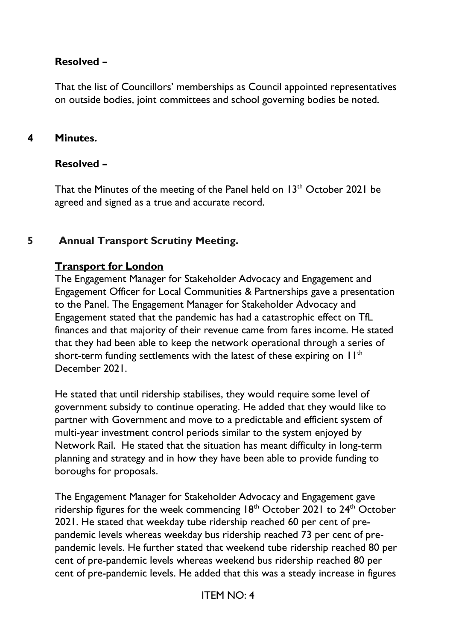## **Resolved –**

That the list of Councillors' memberships as Council appointed representatives on outside bodies, joint committees and school governing bodies be noted.

## **4 Minutes.**

## **Resolved –**

That the Minutes of the meeting of the Panel held on  $13<sup>th</sup>$  October 2021 be agreed and signed as a true and accurate record.

# **5 Annual Transport Scrutiny Meeting.**

### **Transport for London**

The Engagement Manager for Stakeholder Advocacy and Engagement and Engagement Officer for Local Communities & Partnerships gave a presentation to the Panel. The Engagement Manager for Stakeholder Advocacy and Engagement stated that the pandemic has had a catastrophic effect on TfL finances and that majority of their revenue came from fares income. He stated that they had been able to keep the network operational through a series of short-term funding settlements with the latest of these expiring on  $11<sup>th</sup>$ December 2021.

He stated that until ridership stabilises, they would require some level of government subsidy to continue operating. He added that they would like to partner with Government and move to a predictable and efficient system of multi-year investment control periods similar to the system enjoyed by Network Rail. He stated that the situation has meant difficulty in long-term planning and strategy and in how they have been able to provide funding to boroughs for proposals.

The Engagement Manager for Stakeholder Advocacy and Engagement gave ridership figures for the week commencing  $18<sup>th</sup>$  October 2021 to  $24<sup>th</sup>$  October 2021. He stated that weekday tube ridership reached 60 per cent of prepandemic levels whereas weekday bus ridership reached 73 per cent of prepandemic levels. He further stated that weekend tube ridership reached 80 per cent of pre-pandemic levels whereas weekend bus ridership reached 80 per cent of pre-pandemic levels. He added that this was a steady increase in figures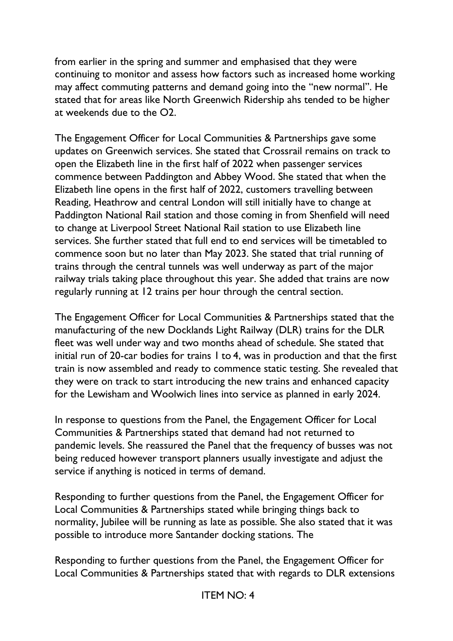from earlier in the spring and summer and emphasised that they were continuing to monitor and assess how factors such as increased home working may affect commuting patterns and demand going into the "new normal". He stated that for areas like North Greenwich Ridership ahs tended to be higher at weekends due to the O2.

The Engagement Officer for Local Communities & Partnerships gave some updates on Greenwich services. She stated that Crossrail remains on track to open the Elizabeth line in the first half of 2022 when passenger services commence between Paddington and Abbey Wood. She stated that when the Elizabeth line opens in the first half of 2022, customers travelling between Reading, Heathrow and central London will still initially have to change at Paddington National Rail station and those coming in from Shenfield will need to change at Liverpool Street National Rail station to use Elizabeth line services. She further stated that full end to end services will be timetabled to commence soon but no later than May 2023. She stated that trial running of trains through the central tunnels was well underway as part of the major railway trials taking place throughout this year. She added that trains are now regularly running at 12 trains per hour through the central section.

The Engagement Officer for Local Communities & Partnerships stated that the manufacturing of the new Docklands Light Railway (DLR) trains for the DLR fleet was well under way and two months ahead of schedule. She stated that initial run of 20-car bodies for trains 1 to 4, was in production and that the first train is now assembled and ready to commence static testing. She revealed that they were on track to start introducing the new trains and enhanced capacity for the Lewisham and Woolwich lines into service as planned in early 2024.

In response to questions from the Panel, the Engagement Officer for Local Communities & Partnerships stated that demand had not returned to pandemic levels. She reassured the Panel that the frequency of busses was not being reduced however transport planners usually investigate and adjust the service if anything is noticed in terms of demand.

Responding to further questions from the Panel, the Engagement Officer for Local Communities & Partnerships stated while bringing things back to normality, Jubilee will be running as late as possible. She also stated that it was possible to introduce more Santander docking stations. The

Responding to further questions from the Panel, the Engagement Officer for Local Communities & Partnerships stated that with regards to DLR extensions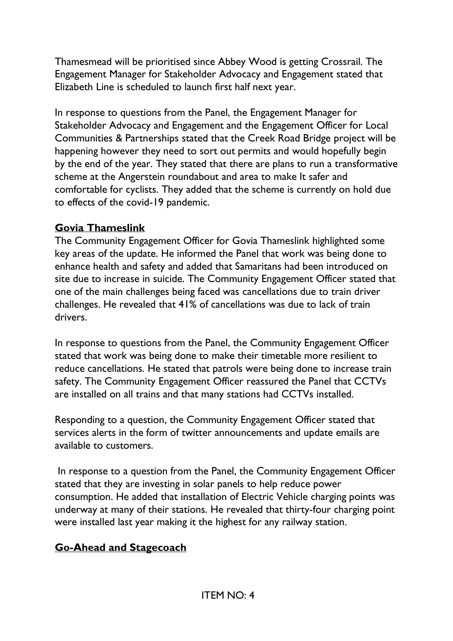Thamesmead will be prioritised since Abbey Wood is getting Crossrail. The Engagement Manager for Stakeholder Advocacy and Engagement stated that Elizabeth Line is scheduled to launch first half next year.

In response to questions from the Panel, the Engagement Manager for Stakeholder Advocacy and Engagement and the Engagement Officer for Local Communities & Partnerships stated that the Creek Road Bridge project will be happening however they need to sort out permits and would hopefully begin by the end of the year. They stated that there are plans to run a transformative scheme at the Angerstein roundabout and area to make It safer and comfortable for cyclists. They added that the scheme is currently on hold due to effects of the covid-19 pandemic.

### **Govia Thameslink**

The Community Engagement Officer for Govia Thameslink highlighted some key areas of the update. He informed the Panel that work was being done to enhance health and safety and added that Samaritans had been introduced on site due to increase in suicide. The Community Engagement Officer stated that one of the main challenges being faced was cancellations due to train driver challenges. He revealed that 41% of cancellations was due to lack of train drivers.

In response to questions from the Panel, the Community Engagement Officer stated that work was being done to make their timetable more resilient to reduce cancellations. He stated that patrols were being done to increase train safety. The Community Engagement Officer reassured the Panel that CCTVs are installed on all trains and that many stations had CCTVs installed.

Responding to a question, the Community Engagement Officer stated that services alerts in the form of twitter announcements and update emails are available to customers.

In response to a question from the Panel, the Community Engagement Officer stated that they are investing in solar panels to help reduce power consumption. He added that installation of Electric Vehicle charging points was underway at many of their stations. He revealed that thirty-four charging point were installed last year making it the highest for any railway station.

# **Go-Ahead and Stagecoach**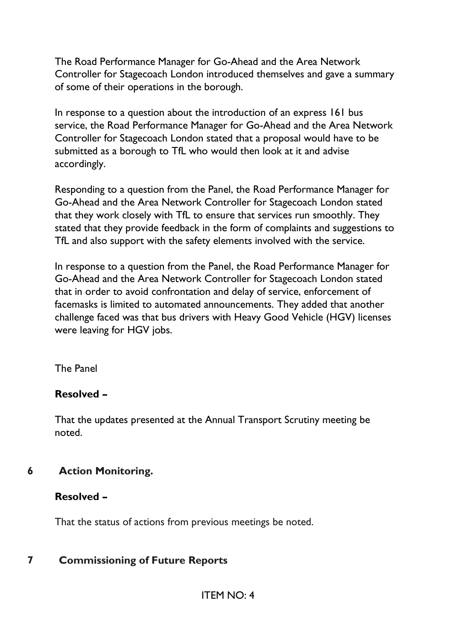The Road Performance Manager for Go-Ahead and the Area Network Controller for Stagecoach London introduced themselves and gave a summary of some of their operations in the borough.

In response to a question about the introduction of an express 161 bus service, the Road Performance Manager for Go-Ahead and the Area Network Controller for Stagecoach London stated that a proposal would have to be submitted as a borough to TfL who would then look at it and advise accordingly.

Responding to a question from the Panel, the Road Performance Manager for Go-Ahead and the Area Network Controller for Stagecoach London stated that they work closely with TfL to ensure that services run smoothly. They stated that they provide feedback in the form of complaints and suggestions to TfL and also support with the safety elements involved with the service.

In response to a question from the Panel, the Road Performance Manager for Go-Ahead and the Area Network Controller for Stagecoach London stated that in order to avoid confrontation and delay of service, enforcement of facemasks is limited to automated announcements. They added that another challenge faced was that bus drivers with Heavy Good Vehicle (HGV) licenses were leaving for HGV jobs.

The Panel

## **Resolved –**

That the updates presented at the Annual Transport Scrutiny meeting be noted.

**6 Action Monitoring.**

## **Resolved –**

That the status of actions from previous meetings be noted.

# **7 Commissioning of Future Reports**